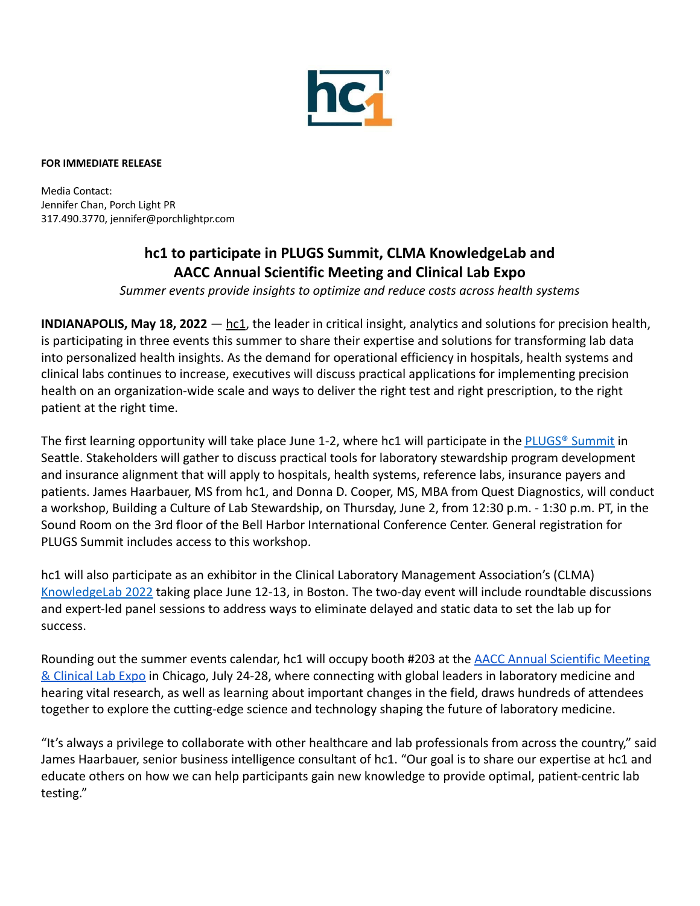

## **FOR IMMEDIATE RELEASE**

Media Contact: Jennifer Chan, Porch Light PR 317.490.3770, jennifer@porchlightpr.com

## **hc1 to participate in PLUGS Summit, CLMA KnowledgeLab and AACC Annual Scientific Meeting and Clinical Lab Expo**

*Summer events provide insights to optimize and reduce costs across health systems*

**INDIANAPOLIS, May 18, 2022** — [hc1](https://www.hc1.com/), the leader in critical insight, analytics and solutions for precision health, is participating in three events this summer to share their expertise and solutions for transforming lab data into personalized health insights. As the demand for operational efficiency in hospitals, health systems and clinical labs continues to increase, executives will discuss practical applications for implementing precision health on an organization-wide scale and ways to deliver the right test and right prescription, to the right patient at the right time.

The first learning opportunity will take place June 1-2, where hc1 will participate in the [PLUGS® Summit](https://www.schplugs.org/plugs-summit/) in Seattle. Stakeholders will gather to discuss practical tools for laboratory stewardship program development and insurance alignment that will apply to hospitals, health systems, reference labs, insurance payers and patients. James Haarbauer, MS from hc1, and Donna D. Cooper, MS, MBA from Quest Diagnostics, will conduct a workshop, Building a Culture of Lab Stewardship, on Thursday, June 2, from 12:30 p.m. - 1:30 p.m. PT, in the Sound Room on the 3rd floor of the Bell Harbor International Conference Center. General registration for PLUGS Summit includes access to this workshop.

hc1 will also participate as an exhibitor in the Clinical Laboratory Management Association's (CLMA) [KnowledgeLab 2022](https://lp.ascp.org/knowledgelab-2022/) taking place June 12-13, in Boston. The two-day event will include roundtable discussions and expert-led panel sessions to address ways to eliminate delayed and static data to set the lab up for success.

Rounding out the summer events calendar, hc1 will occupy booth #203 at the [AACC Annual Scientific Meeting](https://meeting.aacc.org/about) [& Clinical Lab Expo](https://meeting.aacc.org/about) in Chicago, July 24-28, where connecting with global leaders in laboratory medicine and hearing vital research, as well as learning about important changes in the field, draws hundreds of attendees together to explore the cutting-edge science and technology shaping the future of laboratory medicine.

"It's always a privilege to collaborate with other healthcare and lab professionals from across the country," said James Haarbauer, senior business intelligence consultant of hc1. "Our goal is to share our expertise at hc1 and educate others on how we can help participants gain new knowledge to provide optimal, patient-centric lab testing."